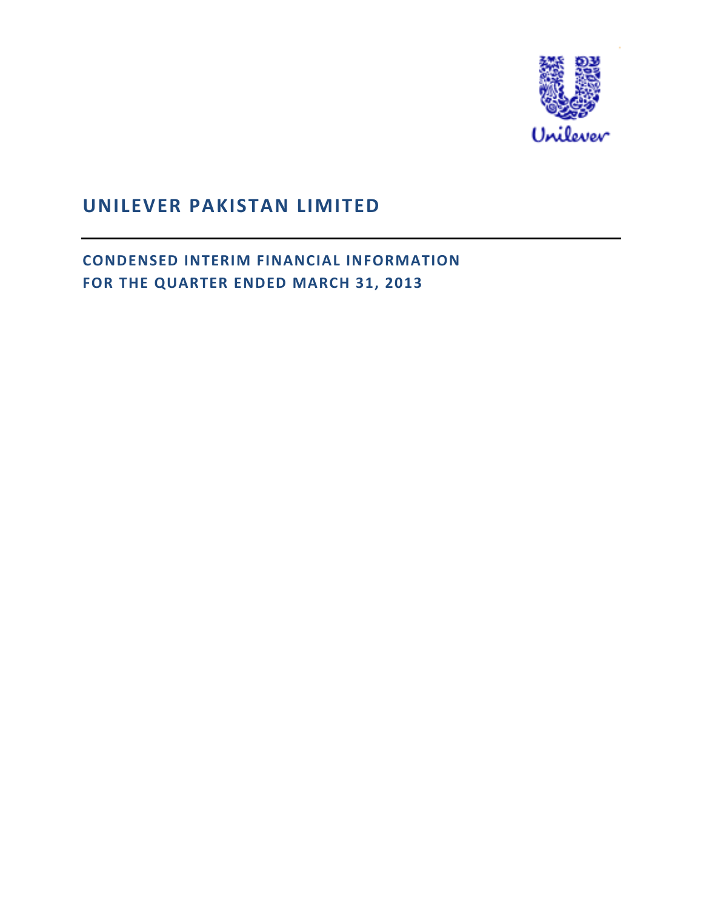

# **UNILEVER PAKISTAN LIMITED**

**CONDENSED INTERIM FINANCIAL INFORMATION FOR THE QUARTER ENDED MARCH 31, 2013**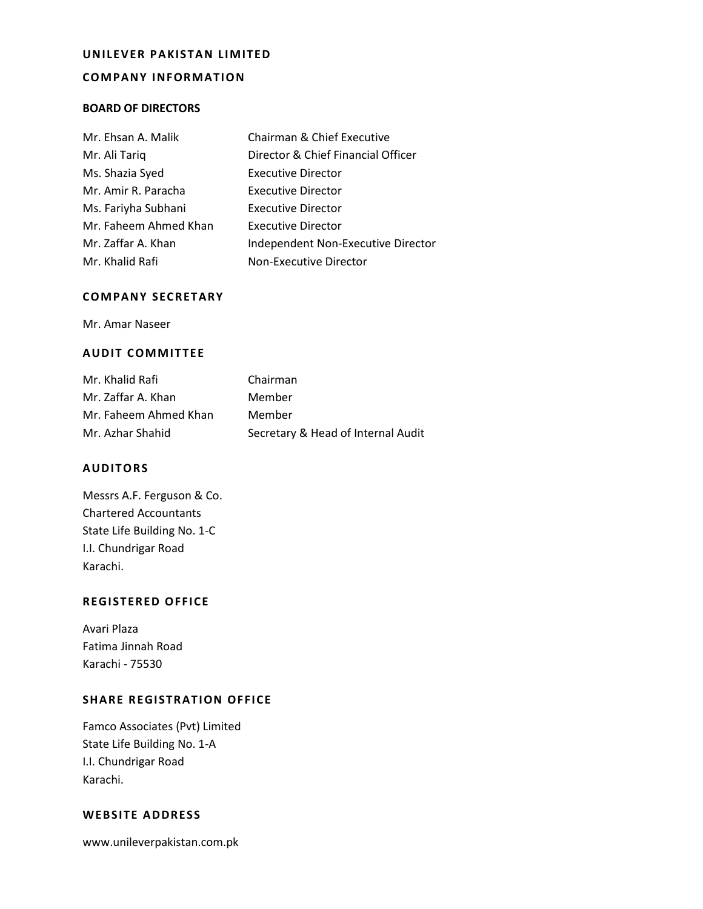#### **UNILEVER PAKISTAN LIMITED**

### **COMPANY INFORMATION**

#### **BOARD OF DIRECTORS**

| Mr. Ehsan A. Malik    | Chairman & Chief Executive         |
|-----------------------|------------------------------------|
| Mr. Ali Tariq         | Director & Chief Financial Officer |
| Ms. Shazia Syed       | <b>Executive Director</b>          |
| Mr. Amir R. Paracha   | <b>Executive Director</b>          |
| Ms. Fariyha Subhani   | <b>Executive Director</b>          |
| Mr. Faheem Ahmed Khan | Executive Director                 |
| Mr. Zaffar A. Khan    | Independent Non-Executive Director |
| Mr. Khalid Rafi       | Non-Executive Director             |

## **COMPANY SECRETARY**

Mr. Amar Naseer

# **AUDIT COMMITTEE**

| Mr. Khalid Rafi       | Chairman                           |
|-----------------------|------------------------------------|
| Mr. Zaffar A. Khan    | Member                             |
| Mr. Faheem Ahmed Khan | Member                             |
| Mr. Azhar Shahid      | Secretary & Head of Internal Audit |

#### **AUDITORS**

| Messrs A.F. Ferguson & Co.   |
|------------------------------|
| <b>Chartered Accountants</b> |
| State Life Building No. 1-C  |
| I.I. Chundrigar Road         |
| Karachi.                     |

### **REGISTERED OFFICE**

 Karachi - 75530 Avari Plaza Fatima Jinnah Road

# **SHARE REGISTRATION OFFICE**

 State Life Building No. 1-A Famco Associates (Pvt) Limited I.I. Chundrigar Road Karachi.

### **WEBSITE ADDRESS**

www.unileverpakistan.com.pk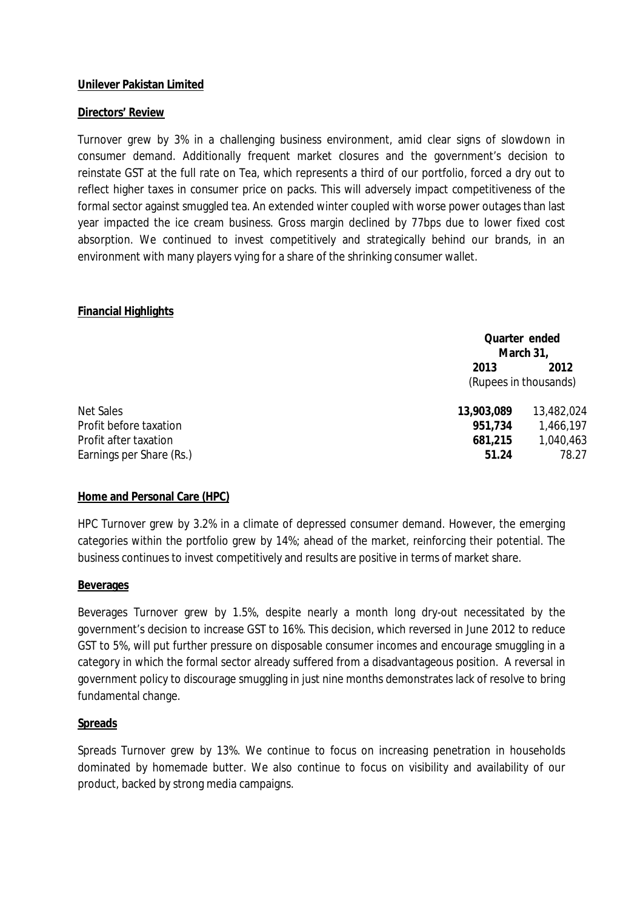# **Unilever Pakistan Limited**

# **Directors' Review**

 Turnover grew by 3% in a challenging business environment, amid clear signs of slowdown in reinstate GST at the full rate on Tea, which represents a third of our portfolio, forced a dry out to reflect higher taxes in consumer price on packs. This will adversely impact competitiveness of the year impacted the ice cream business. Gross margin declined by 77bps due to lower fixed cost consumer demand. Additionally frequent market closures and the government's decision to formal sector against smuggled tea. An extended winter coupled with worse power outages than last absorption. We continued to invest competitively and strategically behind our brands, in an environment with many players vying for a share of the shrinking consumer wallet.

# **Financial Highlights**

|                          |                       | Quarter ended |  |  |
|--------------------------|-----------------------|---------------|--|--|
|                          |                       | March 31,     |  |  |
|                          | 2013                  | 2012          |  |  |
|                          | (Rupees in thousands) |               |  |  |
| Net Sales                | 13,903,089            | 13,482,024    |  |  |
| Profit before taxation   | 951,734               | 1,466,197     |  |  |
| Profit after taxation    | 681,215               | 1,040,463     |  |  |
| Earnings per Share (Rs.) | 51.24                 | 78.27         |  |  |

# **Home and Personal Care (HPC)**

 categories within the portfolio grew by 14%; ahead of the market, reinforcing their potential. The business continues to invest competitively and results are positive in terms of market share. HPC Turnover grew by 3.2% in a climate of depressed consumer demand. However, the emerging

# **Beverages**

 GST to 5%, will put further pressure on disposable consumer incomes and encourage smuggling in a Beverages Turnover grew by 1.5%, despite nearly a month long dry-out necessitated by the government's decision to increase GST to 16%. This decision, which reversed in June 2012 to reduce category in which the formal sector already suffered from a disadvantageous position. A reversal in government policy to discourage smuggling in just nine months demonstrates lack of resolve to bring fundamental change.

# **Spreads**

 dominated by homemade butter. We also continue to focus on visibility and availability of our product, backed by strong media campaigns. Spreads Turnover grew by 13%. We continue to focus on increasing penetration in households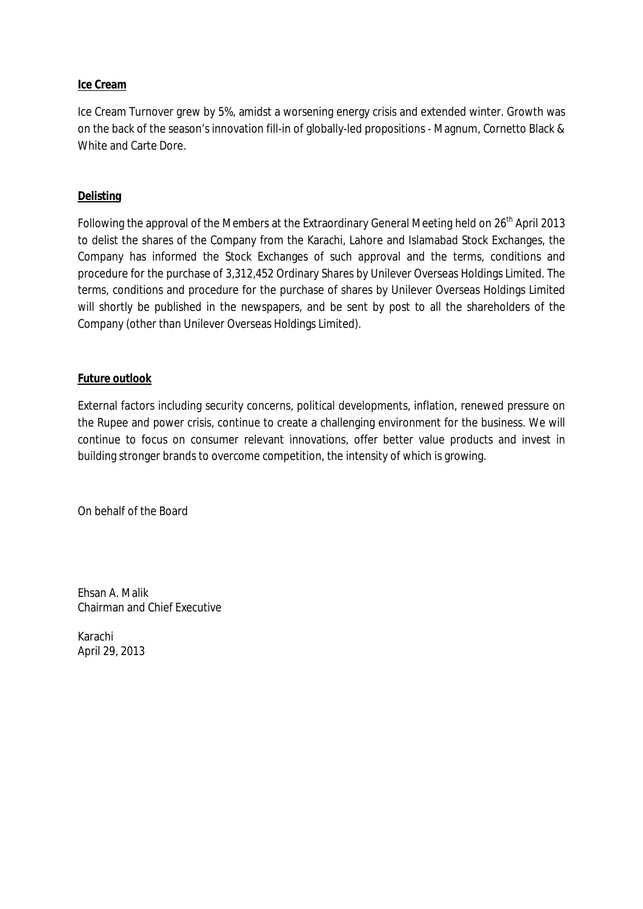# **Ice Cream**

Ice Cream Turnover grew by 5%, amidst a worsening energy crisis and extended winter. Growth was on the back of the season's innovation fill-in of globally-led propositions - Magnum, Cornetto Black & White and Carte Dore.

# **Delisting**

Following the approval of the Members at the Extraordinary General Meeting held on 26<sup>th</sup> April 2013 will shortly be published in the newspapers, and be sent by post to all the shareholders of the to delist the shares of the Company from the Karachi, Lahore and Islamabad Stock Exchanges, the Company has informed the Stock Exchanges of such approval and the terms, conditions and procedure for the purchase of 3,312,452 Ordinary Shares by Unilever Overseas Holdings Limited. The terms, conditions and procedure for the purchase of shares by Unilever Overseas Holdings Limited Company (other than Unilever Overseas Holdings Limited).

# **Future outlook**

 continue to focus on consumer relevant innovations, offer better value products and invest in building stronger brands to overcome competition, the intensity of which is growing. External factors including security concerns, political developments, inflation, renewed pressure on the Rupee and power crisis, continue to create a challenging environment for the business. We will

On behalf of the Board

Ehsan A. Malik Chairman and Chief Executive

Karachi April 29, 2013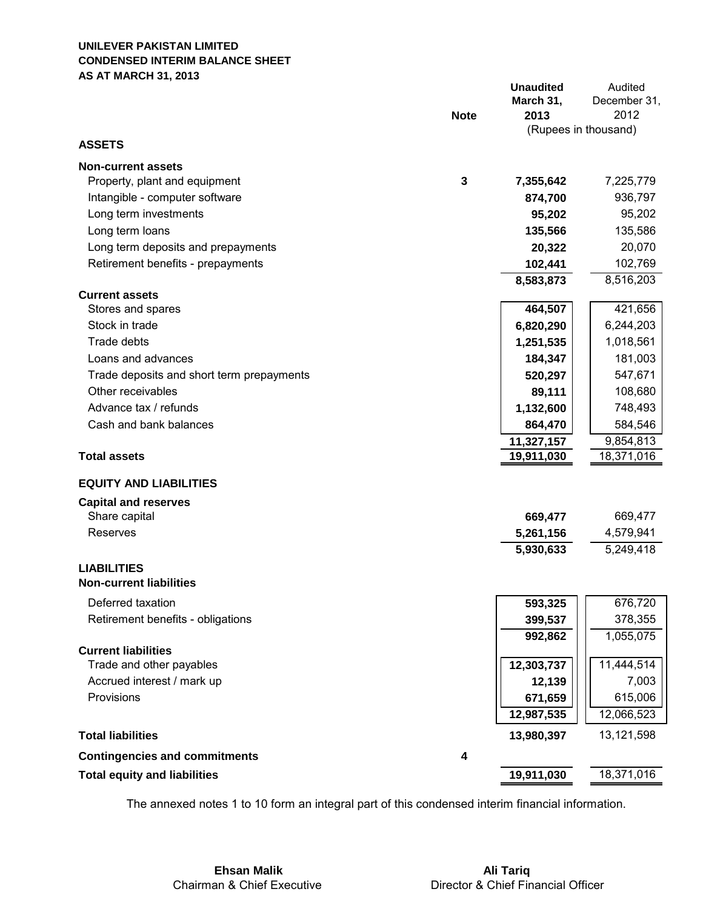### **UNILEVER PAKISTAN LIMITED CONDENSED INTERIM BALANCE SHEET AS AT MARCH 31, 2013**

|                                           |                         | <b>Unaudited</b><br>March 31, | Audited<br>December 31, |
|-------------------------------------------|-------------------------|-------------------------------|-------------------------|
|                                           | <b>Note</b>             | 2013                          | 2012                    |
|                                           |                         | (Rupees in thousand)          |                         |
| <b>ASSETS</b>                             |                         |                               |                         |
| <b>Non-current assets</b>                 |                         |                               |                         |
| Property, plant and equipment             | $\mathbf{3}$            | 7,355,642                     | 7,225,779               |
| Intangible - computer software            |                         | 874,700                       | 936,797                 |
| Long term investments                     |                         | 95,202                        | 95,202                  |
| Long term loans                           |                         | 135,566                       | 135,586                 |
| Long term deposits and prepayments        |                         | 20,322                        | 20,070                  |
| Retirement benefits - prepayments         |                         | 102,441                       | 102,769                 |
|                                           |                         | 8,583,873                     | 8,516,203               |
| <b>Current assets</b>                     |                         |                               |                         |
| Stores and spares                         |                         | 464,507                       | 421,656                 |
| Stock in trade                            |                         | 6,820,290                     | 6,244,203               |
| Trade debts                               |                         | 1,251,535                     | 1,018,561               |
| Loans and advances                        |                         | 184,347                       | 181,003                 |
| Trade deposits and short term prepayments |                         | 520,297                       | 547,671                 |
| Other receivables                         |                         | 89,111                        | 108,680                 |
| Advance tax / refunds                     |                         | 1,132,600                     | 748,493                 |
| Cash and bank balances                    |                         | 864,470                       | 584,546                 |
| <b>Total assets</b>                       |                         | 11,327,157                    | 9,854,813               |
|                                           |                         | 19,911,030                    | 18,371,016              |
| <b>EQUITY AND LIABILITIES</b>             |                         |                               |                         |
| <b>Capital and reserves</b>               |                         |                               |                         |
| Share capital                             |                         | 669,477                       | 669,477                 |
| Reserves                                  |                         | 5,261,156                     | 4,579,941               |
|                                           |                         | 5,930,633                     | 5,249,418               |
| <b>LIABILITIES</b>                        |                         |                               |                         |
| <b>Non-current liabilities</b>            |                         |                               |                         |
| Deferred taxation                         |                         | 593,325                       | 676,720                 |
| Retirement benefits - obligations         |                         | 399,537                       | 378,355                 |
|                                           |                         | 992,862                       | 1,055,075               |
| <b>Current liabilities</b>                |                         |                               |                         |
| Trade and other payables                  |                         | 12,303,737                    | 11,444,514              |
| Accrued interest / mark up                |                         | 12,139                        | 7,003                   |
| Provisions                                |                         | 671,659                       | 615,006                 |
|                                           |                         | 12,987,535                    | 12,066,523              |
| <b>Total liabilities</b>                  |                         | 13,980,397                    | 13,121,598              |
| <b>Contingencies and commitments</b>      | $\overline{\mathbf{4}}$ |                               |                         |
| <b>Total equity and liabilities</b>       |                         | 19,911,030                    | 18,371,016              |

The annexed notes 1 to 10 form an integral part of this condensed interim financial information.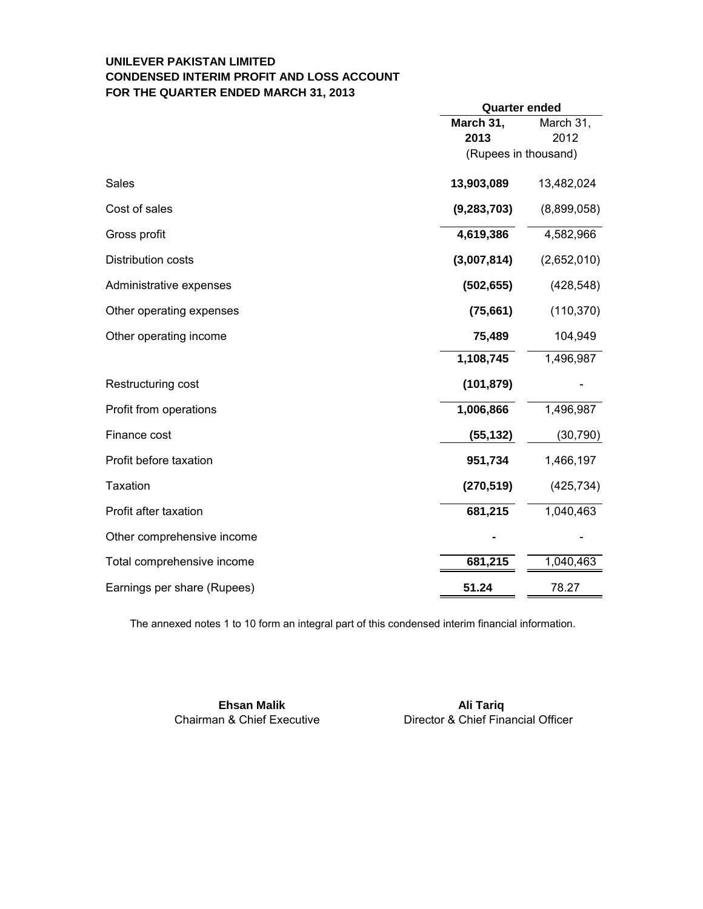# **UNILEVER PAKISTAN LIMITED CONDENSED INTERIM PROFIT AND LOSS ACCOUNT FOR THE QUARTER ENDED MARCH 31, 2013**

|                             | <b>Quarter ended</b> |             |  |
|-----------------------------|----------------------|-------------|--|
|                             | March 31,            | March 31,   |  |
|                             | 2013                 | 2012        |  |
|                             | (Rupees in thousand) |             |  |
| Sales                       | 13,903,089           | 13,482,024  |  |
| Cost of sales               | (9, 283, 703)        | (8,899,058) |  |
| Gross profit                | 4,619,386            | 4,582,966   |  |
| Distribution costs          | (3,007,814)          | (2,652,010) |  |
| Administrative expenses     | (502, 655)           | (428, 548)  |  |
| Other operating expenses    | (75,661)             | (110, 370)  |  |
| Other operating income      | 75,489               | 104,949     |  |
|                             | 1,108,745            | 1,496,987   |  |
| Restructuring cost          | (101, 879)           |             |  |
| Profit from operations      | 1,006,866            | 1,496,987   |  |
| Finance cost                | (55, 132)            | (30, 790)   |  |
| Profit before taxation      | 951,734              | 1,466,197   |  |
| Taxation                    | (270, 519)           | (425, 734)  |  |
| Profit after taxation       | 681,215              | 1,040,463   |  |
| Other comprehensive income  |                      |             |  |
| Total comprehensive income  | 681,215              | 1,040,463   |  |
| Earnings per share (Rupees) | 51.24                | 78.27       |  |

The annexed notes 1 to 10 form an integral part of this condensed interim financial information.

**Chairman & Chief Executive** 

**Ehsan Malik Ali Tariq Ali Tariq Ali Tariq Ali Tariq Ali Tariq Ali Tariq Ali Tariq** Chairman & Chief Executive **Director & Chief Financial Officer**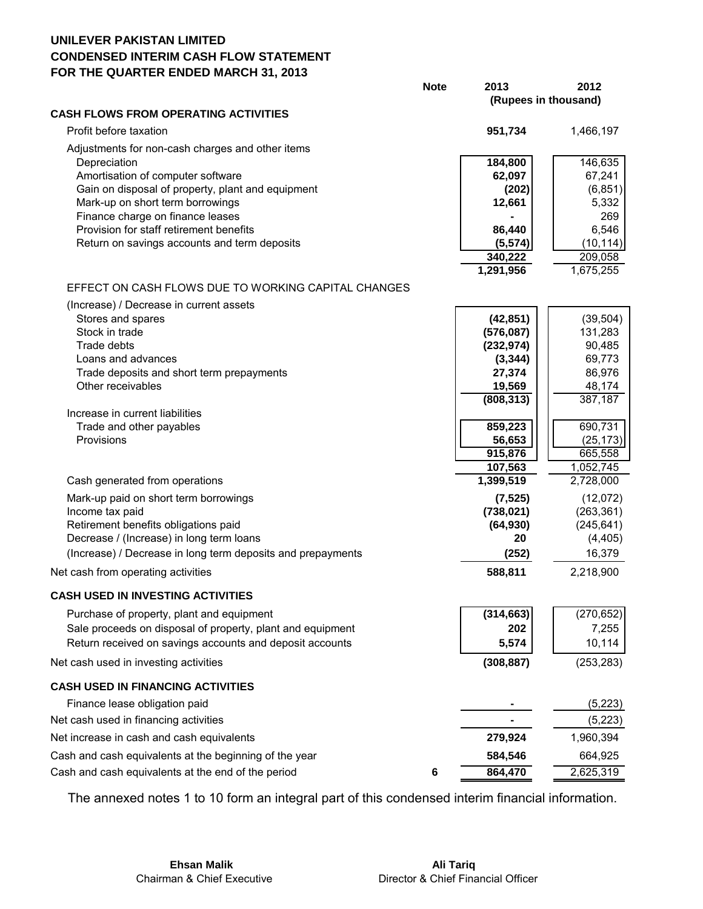# **UNILEVER PAKISTAN LIMITED CONDENSED INTERIM CASH FLOW STATEMENT FOR THE QUARTER ENDED MARCH 31, 2013**

|                                                                                        | <b>Note</b> | 2013<br>(Rupees in thousand) | 2012                   |
|----------------------------------------------------------------------------------------|-------------|------------------------------|------------------------|
| <b>CASH FLOWS FROM OPERATING ACTIVITIES</b>                                            |             |                              |                        |
| Profit before taxation                                                                 |             | 951,734                      | 1,466,197              |
| Adjustments for non-cash charges and other items                                       |             |                              |                        |
| Depreciation                                                                           |             | 184,800                      | 146,635                |
| Amortisation of computer software<br>Gain on disposal of property, plant and equipment |             | 62,097                       | 67,241                 |
| Mark-up on short term borrowings                                                       |             | (202)<br>12,661              | (6, 851)<br>5,332      |
| Finance charge on finance leases                                                       |             |                              | 269                    |
| Provision for staff retirement benefits                                                |             | 86,440                       | 6,546                  |
| Return on savings accounts and term deposits                                           |             | (5, 574)                     | (10, 114)              |
|                                                                                        |             | 340,222                      | 209,058                |
|                                                                                        |             | 1,291,956                    | 1,675,255              |
| EFFECT ON CASH FLOWS DUE TO WORKING CAPITAL CHANGES                                    |             |                              |                        |
| (Increase) / Decrease in current assets                                                |             |                              |                        |
| Stores and spares                                                                      |             | (42, 851)                    | (39, 504)              |
| Stock in trade                                                                         |             | (576,087)                    | 131,283                |
| Trade debts                                                                            |             | (232, 974)                   | 90,485                 |
| Loans and advances                                                                     |             | (3, 344)                     | 69,773                 |
| Trade deposits and short term prepayments<br>Other receivables                         |             | 27,374<br>19,569             | 86,976<br>48,174       |
|                                                                                        |             | (808, 313)                   | 387,187                |
| Increase in current liabilities                                                        |             |                              |                        |
| Trade and other payables                                                               |             | 859,223                      | 690,731                |
| Provisions                                                                             |             | 56,653                       | (25, 173)              |
|                                                                                        |             | 915,876                      | 665,558                |
|                                                                                        |             | 107,563                      | 1,052,745              |
| Cash generated from operations                                                         |             | 1,399,519                    | 2,728,000              |
| Mark-up paid on short term borrowings                                                  |             | (7, 525)                     | (12,072)               |
| Income tax paid<br>Retirement benefits obligations paid                                |             | (738, 021)<br>(64, 930)      | (263, 361)             |
| Decrease / (Increase) in long term loans                                               |             | 20                           | (245, 641)<br>(4, 405) |
| (Increase) / Decrease in long term deposits and prepayments                            |             | (252)                        | 16,379                 |
|                                                                                        |             | 588,811                      | 2,218,900              |
| Net cash from operating activities                                                     |             |                              |                        |
| CASH USED IN INVESTING ACTIVITIES                                                      |             |                              |                        |
| Purchase of property, plant and equipment                                              |             | (314, 663)                   | (270, 652)             |
| Sale proceeds on disposal of property, plant and equipment                             |             | 202                          | 7,255                  |
| Return received on savings accounts and deposit accounts                               |             | 5,574                        | 10,114                 |
| Net cash used in investing activities                                                  |             | (308, 887)                   | (253, 283)             |
| <b>CASH USED IN FINANCING ACTIVITIES</b>                                               |             |                              |                        |
| Finance lease obligation paid                                                          |             |                              | (5, 223)               |
| Net cash used in financing activities                                                  |             |                              | (5,223)                |
| Net increase in cash and cash equivalents                                              |             | 279,924                      | 1,960,394              |
| Cash and cash equivalents at the beginning of the year                                 |             | 584,546                      | 664,925                |
| Cash and cash equivalents at the end of the period                                     | 6           | 864,470                      | 2,625,319              |

The annexed notes 1 to 10 form an integral part of this condensed interim financial information.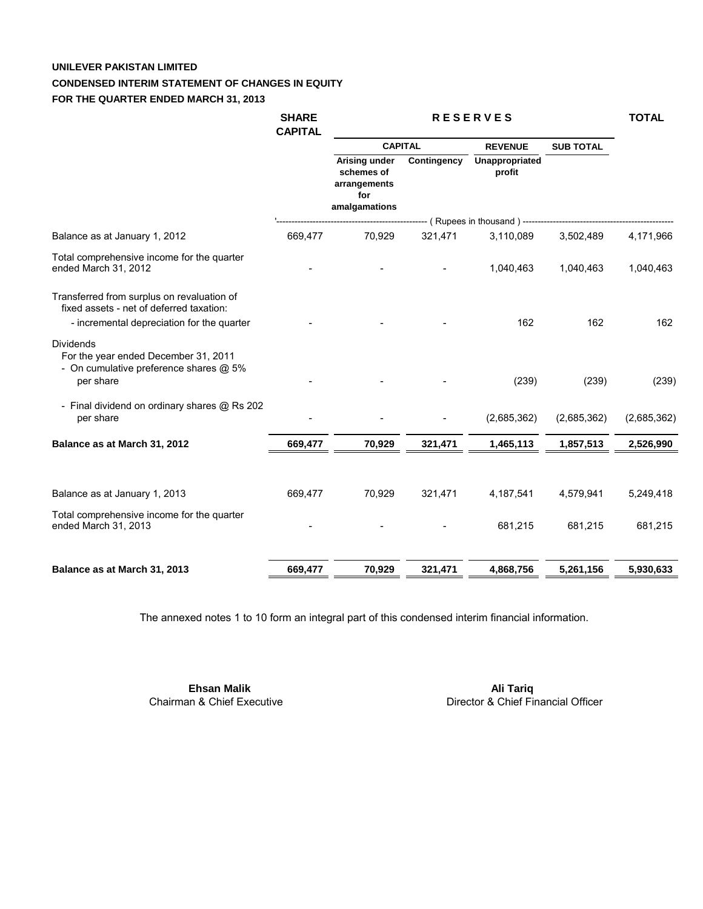# **UNILEVER PAKISTAN LIMITED**

#### **CONDENSED INTERIM STATEMENT OF CHANGES IN EQUITY**

#### **FOR THE QUARTER ENDED MARCH 31, 2013**

|                                                                                                                                      | <b>SHARE</b><br><b>CAPITAL</b> | <b>RESERVES</b>                                                     |             |                             | <b>TOTAL</b>     |             |
|--------------------------------------------------------------------------------------------------------------------------------------|--------------------------------|---------------------------------------------------------------------|-------------|-----------------------------|------------------|-------------|
|                                                                                                                                      |                                | <b>CAPITAL</b>                                                      |             | <b>REVENUE</b>              | <b>SUB TOTAL</b> |             |
|                                                                                                                                      |                                | Arising under<br>schemes of<br>arrangements<br>for<br>amalgamations | Contingency | Unappropriated<br>profit    |                  |             |
|                                                                                                                                      |                                |                                                                     |             | (Rupees in thousand) ------ |                  |             |
| Balance as at January 1, 2012                                                                                                        | 669,477                        | 70,929                                                              | 321,471     | 3,110,089                   | 3,502,489        | 4,171,966   |
| Total comprehensive income for the quarter<br>ended March 31, 2012                                                                   |                                |                                                                     |             | 1,040,463                   | 1,040,463        | 1,040,463   |
| Transferred from surplus on revaluation of<br>fixed assets - net of deferred taxation:<br>- incremental depreciation for the quarter |                                |                                                                     |             | 162                         | 162              | 162         |
| <b>Dividends</b>                                                                                                                     |                                |                                                                     |             |                             |                  |             |
| For the year ended December 31, 2011<br>- On cumulative preference shares @ 5%<br>per share                                          |                                |                                                                     |             | (239)                       | (239)            | (239)       |
| - Final dividend on ordinary shares @ Rs 202<br>per share                                                                            |                                |                                                                     |             | (2,685,362)                 | (2,685,362)      | (2,685,362) |
| Balance as at March 31, 2012                                                                                                         | 669,477                        | 70,929                                                              | 321,471     | 1,465,113                   | 1,857,513        | 2,526,990   |
| Balance as at January 1, 2013                                                                                                        | 669,477                        | 70,929                                                              | 321,471     | 4,187,541                   | 4,579,941        | 5,249,418   |
| Total comprehensive income for the quarter<br>ended March 31, 2013                                                                   |                                |                                                                     |             | 681,215                     | 681,215          | 681,215     |
|                                                                                                                                      |                                |                                                                     |             |                             |                  |             |
| Balance as at March 31, 2013                                                                                                         | 669,477                        | 70,929                                                              | 321,471     | 4,868,756                   | 5,261,156        | 5,930,633   |

The annexed notes 1 to 10 form an integral part of this condensed interim financial information.

 **Ehsan Malik** Chairman & Chief Executive

 **Ali Tariq** Director & Chief Financial Officer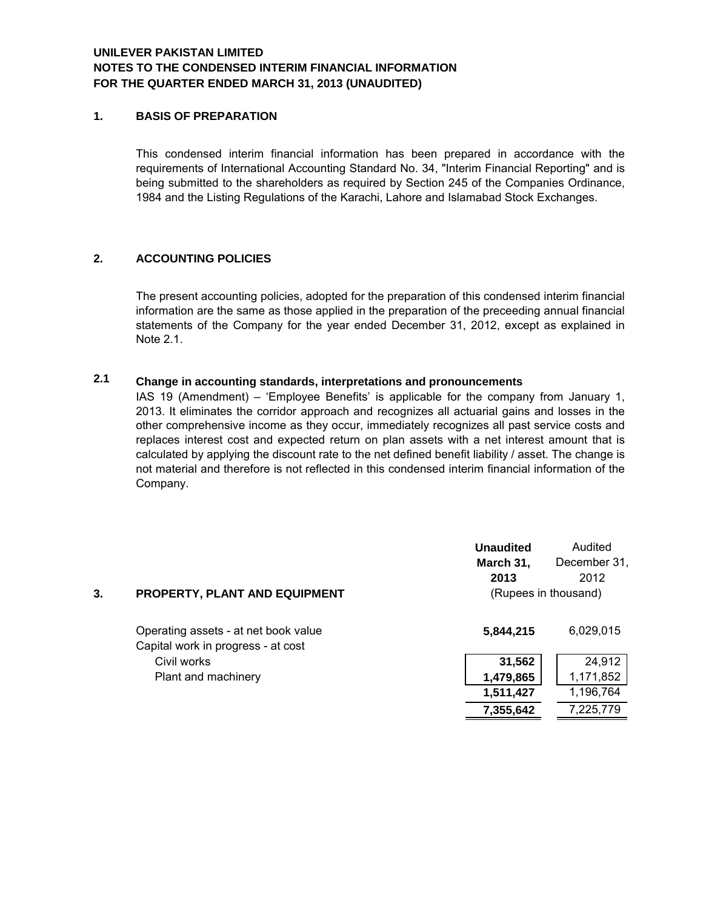## **NOTES TO THE CONDENSED INTERIM FINANCIAL INFORMATION FOR THE QUARTER ENDED MARCH 31, 2013 (UNAUDITED) UNILEVER PAKISTAN LIMITED**

#### **1. BASIS OF PREPARATION**

 1984 and the Listing Regulations of the Karachi, Lahore and Islamabad Stock Exchanges. This condensed interim financial information has been prepared in accordance with the requirements of International Accounting Standard No. 34, "Interim Financial Reporting" and is being submitted to the shareholders as required by Section 245 of the Companies Ordinance,

### **2. ACCOUNTING POLICIES**

The present accounting policies, adopted for the preparation of this condensed interim financial information are the same as those applied in the preparation of the preceeding annual financial statements of the Company for the year ended December 31, 2012, except as explained in Note 2.1.

#### **Change in accounting standards, interpretations and pronouncements 2.1**

IAS 19 (Amendment) – 'Employee Benefits' is applicable for the company from January 1, 2013. It eliminates the corridor approach and recognizes all actuarial gains and losses in the other comprehensive income as they occur, immediately recognizes all past service costs and replaces interest cost and expected return on plan assets with a net interest amount that is calculated by applying the discount rate to the net defined benefit liability / asset. The change is not material and therefore is not reflected in this condensed interim financial information of the Company.

|    |                                                                            | <b>Unaudited</b><br>March 31,<br>2013 | Audited<br>December 31,<br>2012 |
|----|----------------------------------------------------------------------------|---------------------------------------|---------------------------------|
| 3. | PROPERTY, PLANT AND EQUIPMENT                                              |                                       | (Rupees in thousand)            |
|    | Operating assets - at net book value<br>Capital work in progress - at cost | 5,844,215                             | 6,029,015                       |
|    | Civil works                                                                | 31,562                                | 24,912                          |
|    | Plant and machinery                                                        | 1,479,865                             | 1,171,852                       |
|    |                                                                            | 1,511,427                             | 1,196,764                       |
|    |                                                                            | 7,355,642                             | 7,225,779                       |
|    |                                                                            |                                       |                                 |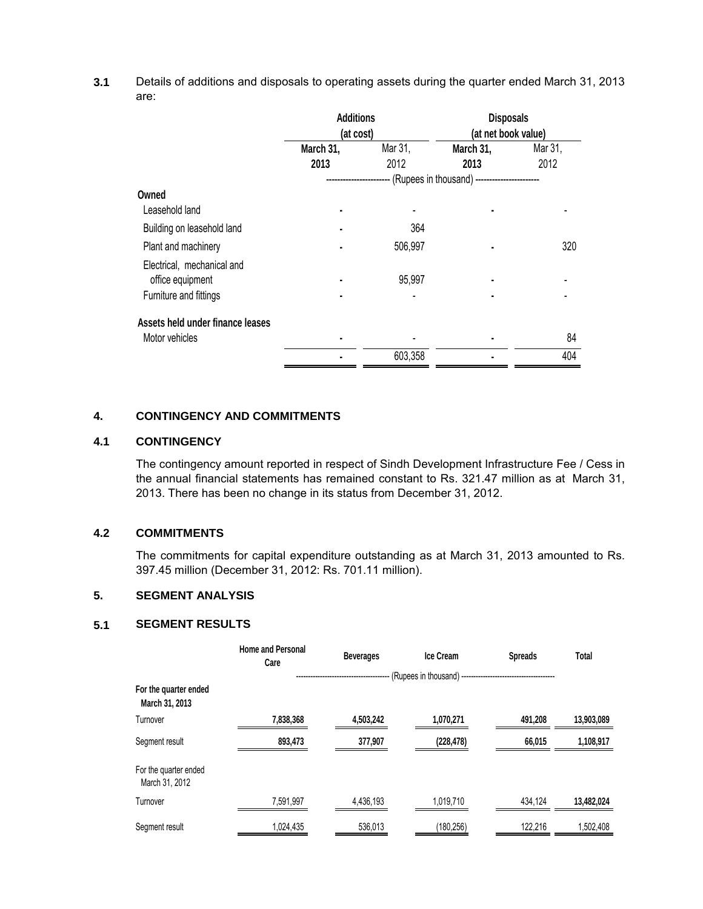**3.1** Details of additions and disposals to operating assets during the quarter ended March 31, 2013 are:

|                                                                          | <b>Additions</b><br>(at cost) |                                      | <b>Disposals</b><br>(at net book value)          |                 |
|--------------------------------------------------------------------------|-------------------------------|--------------------------------------|--------------------------------------------------|-----------------|
|                                                                          | March 31,<br>2013             | Mar 31,<br>March 31,<br>2012<br>2013 |                                                  | Mar 31,<br>2012 |
|                                                                          | ------------------            |                                      | --- (Rupees in thousand) ----------------------- |                 |
| Owned                                                                    |                               |                                      |                                                  |                 |
| Leasehold land                                                           | ٠                             |                                      |                                                  |                 |
| Building on leasehold land                                               | ٠                             | 364                                  |                                                  |                 |
| Plant and machinery                                                      |                               | 506,997                              |                                                  | 320             |
| Electrical, mechanical and<br>office equipment<br>Furniture and fittings | ٠                             | 95,997                               |                                                  |                 |
| Assets held under finance leases                                         |                               |                                      |                                                  |                 |
| Motor vehicles                                                           |                               |                                      |                                                  | 84              |
|                                                                          |                               | 603,358                              |                                                  | 404             |

#### **4. CONTINGENCY AND COMMITMENTS**

# **4.1 CONTINGENCY**

 2013. There has been no change in its status from December 31, 2012. The contingency amount reported in respect of Sindh Development Infrastructure Fee / Cess in the annual financial statements has remained constant to Rs. 321.47 million as at March 31,

#### **4.2 COMMITMENTS**

 397.45 million (December 31, 2012: Rs. 701.11 million). The commitments for capital expenditure outstanding as at March 31, 2013 amounted to Rs.

#### **5. SEGMENT ANALYSIS**

#### **5.1 SEGMENT RESULTS**

|                                         | <b>Home and Personal</b><br>Care | <b>Beverages</b>          | <b>Ice Cream</b> | <b>Spreads</b> | Total      |
|-----------------------------------------|----------------------------------|---------------------------|------------------|----------------|------------|
|                                         |                                  | ------------------------- |                  |                |            |
| For the quarter ended<br>March 31, 2013 |                                  |                           |                  |                |            |
| Turnover                                | 7,838,368                        | 4,503,242                 | 1,070,271        | 491,208        | 13,903,089 |
| Segment result                          | 893,473                          | 377,907                   | (228, 478)       | 66,015         | 1,108,917  |
| For the quarter ended<br>March 31, 2012 |                                  |                           |                  |                |            |
| Turnover                                | 7,591,997                        | 4,436,193                 | 1,019,710        | 434,124        | 13,482,024 |
| Segment result                          | 1,024,435                        | 536,013                   | (180, 256)       | 122,216        | 1,502,408  |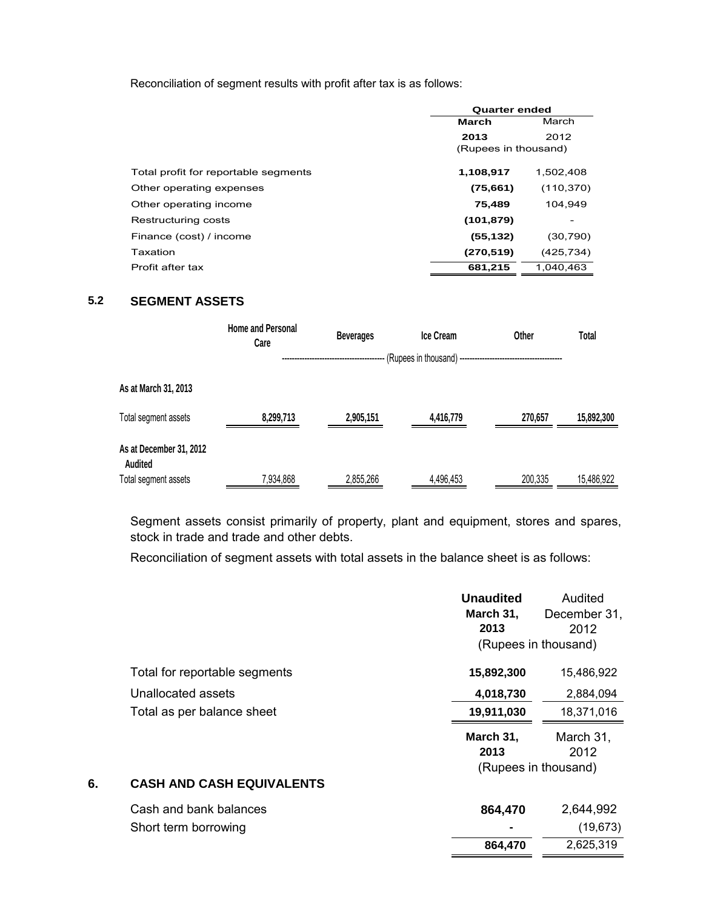Reconciliation of segment results with profit after tax is as follows:

|                                      |                      | <b>Quarter ended</b> |  |  |
|--------------------------------------|----------------------|----------------------|--|--|
|                                      | <b>March</b>         | March                |  |  |
|                                      | 2013                 | 2012                 |  |  |
|                                      | (Rupees in thousand) |                      |  |  |
| Total profit for reportable segments | 1,108,917            | 1,502,408            |  |  |
| Other operating expenses             | (75,661)             | (110, 370)           |  |  |
| Other operating income               | 75,489               | 104,949              |  |  |
| Restructuring costs                  | (101, 879)           |                      |  |  |
| Finance (cost) / income              | (55, 132)            | (30, 790)            |  |  |
| Taxation                             | (270, 519)           | (425, 734)           |  |  |
| Profit after tax                     | 681,215              | 1.040.463            |  |  |

# **5.2 SEGMENT ASSETS**

|                                    | <b>Home and Personal</b><br>Care | <b>Beverages</b> | <b>Ice Cream</b> | Other   | Total      |
|------------------------------------|----------------------------------|------------------|------------------|---------|------------|
|                                    |                                  |                  |                  |         |            |
| As at March 31, 2013               |                                  |                  |                  |         |            |
| Total segment assets               | 8,299,713                        | 2,905,151        | 4,416,779        | 270,657 | 15,892,300 |
| As at December 31, 2012<br>Audited |                                  |                  |                  |         |            |
| Total segment assets               | 7,934,868                        | 2,855,266        | 4,496,453        | 200,335 | 15,486,922 |

Segment assets consist primarily of property, plant and equipment, stores and spares, stock in trade and trade and other debts.

Reconciliation of segment assets with total assets in the balance sheet is as follows:

|    |                                  | <b>Unaudited</b><br>March 31,<br>2013<br>(Rupees in thousand) | Audited<br>December 31,<br>2012 |
|----|----------------------------------|---------------------------------------------------------------|---------------------------------|
|    | Total for reportable segments    | 15,892,300                                                    | 15,486,922                      |
|    | Unallocated assets               | 4,018,730                                                     | 2,884,094                       |
|    | Total as per balance sheet       | 19,911,030                                                    | 18,371,016                      |
|    |                                  | March 31,<br>2013                                             | March 31,<br>2012               |
|    |                                  | (Rupees in thousand)                                          |                                 |
| 6. | <b>CASH AND CASH EQUIVALENTS</b> |                                                               |                                 |
|    | Cash and bank balances           | 864,470                                                       | 2,644,992                       |
|    | Short term borrowing             |                                                               | (19, 673)                       |
|    |                                  | 864,470                                                       | 2,625,319                       |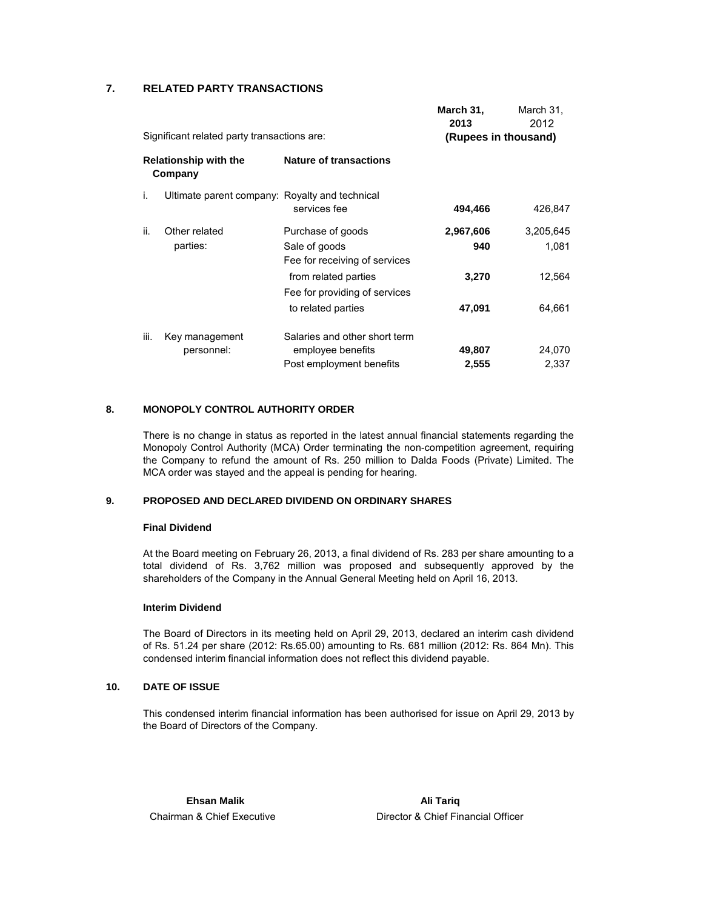#### **7. RELATED PARTY TRANSACTIONS**

|      |                                             |                                                | March 31,            | March 31, |
|------|---------------------------------------------|------------------------------------------------|----------------------|-----------|
|      |                                             |                                                | 2013                 | 2012      |
|      | Significant related party transactions are: |                                                | (Rupees in thousand) |           |
|      | <b>Relationship with the</b><br>Company     | <b>Nature of transactions</b>                  |                      |           |
| i.   |                                             | Ultimate parent company: Royalty and technical |                      |           |
|      |                                             | services fee                                   | 494,466              | 426,847   |
| ii.  | Other related                               | Purchase of goods                              | 2,967,606            | 3,205,645 |
|      | parties:                                    | Sale of goods                                  | 940                  | 1,081     |
|      |                                             | Fee for receiving of services                  |                      |           |
|      |                                             | from related parties                           | 3,270                | 12,564    |
|      |                                             | Fee for providing of services                  |                      |           |
|      |                                             | to related parties                             | 47,091               | 64,661    |
| iii. | Key management                              | Salaries and other short term                  |                      |           |
|      | personnel:                                  | employee benefits                              | 49,807               | 24,070    |
|      |                                             | Post employment benefits                       | 2,555                | 2,337     |

#### **8. MONOPOLY CONTROL AUTHORITY ORDER**

 MCA order was stayed and the appeal is pending for hearing. There is no change in status as reported in the latest annual financial statements regarding the Monopoly Control Authority (MCA) Order terminating the non-competition agreement, requiring the Company to refund the amount of Rs. 250 million to Dalda Foods (Private) Limited. The

#### **9. PROPOSED AND DECLARED DIVIDEND ON ORDINARY SHARES**

#### **Final Dividend**

 shareholders of the Company in the Annual General Meeting held on April 16, 2013. At the Board meeting on February 26, 2013, a final dividend of Rs. 283 per share amounting to a total dividend of Rs. 3,762 million was proposed and subsequently approved by the

#### **Interim Dividend**

 condensed interim financial information does not reflect this dividend payable. The Board of Directors in its meeting held on April 29, 2013, declared an interim cash dividend of Rs. 51.24 per share (2012: Rs.65.00) amounting to Rs. 681 million (2012: Rs. 864 Mn). This

#### **10. DATE OF ISSUE**

 the Board of Directors of the Company. This condensed interim financial information has been authorised for issue on April 29, 2013 by

Chairman & Chief Executive **Ehsan Malik Ali Tariq Ali Tariq Ali Tariq Ali Tariq Ali Tariq Ali Tariq Ali Tariq Ali Tariq Ali Tariq Ali Tariq**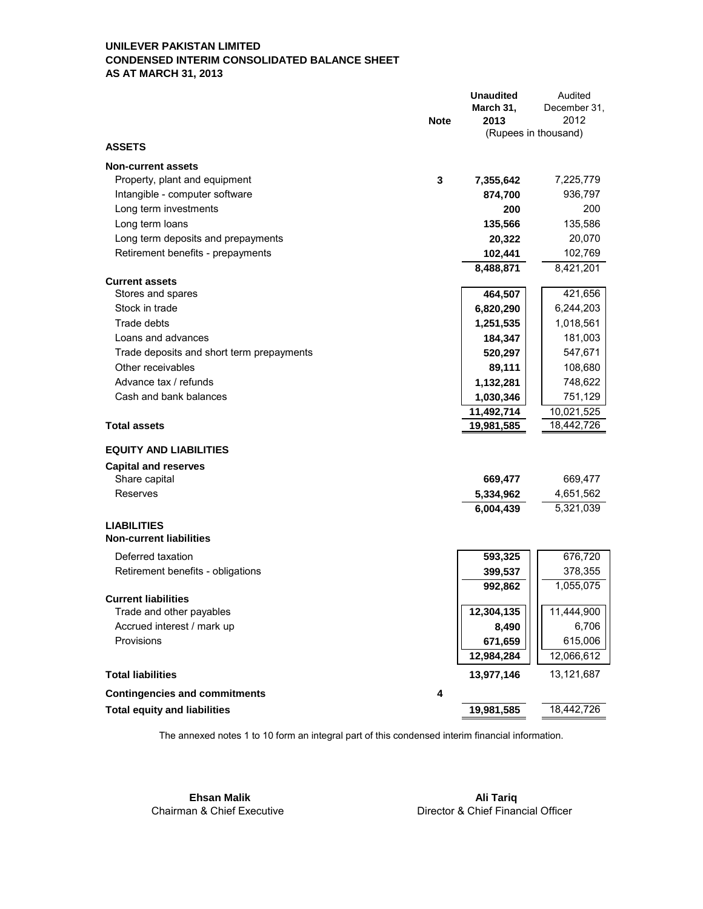#### **UNILEVER PAKISTAN LIMITED CONDENSED INTERIM CONSOLIDATED BALANCE SHEET AS AT MARCH 31, 2013**

|                                           | <b>Unaudited</b> | Audited                      |
|-------------------------------------------|------------------|------------------------------|
|                                           | March 31,        | December 31,                 |
| <b>Note</b>                               | 2013             | 2012<br>(Rupees in thousand) |
| <b>ASSETS</b>                             |                  |                              |
| <b>Non-current assets</b>                 |                  |                              |
| 3<br>Property, plant and equipment        | 7,355,642        | 7,225,779                    |
| Intangible - computer software            | 874,700          | 936,797                      |
| Long term investments                     | 200              | 200                          |
| Long term loans                           | 135,566          | 135,586                      |
| Long term deposits and prepayments        | 20,322           | 20,070                       |
| Retirement benefits - prepayments         | 102,441          | 102,769                      |
|                                           | 8,488,871        | 8,421,201                    |
| <b>Current assets</b>                     |                  |                              |
| Stores and spares                         | 464,507          | 421,656                      |
| Stock in trade                            | 6,820,290        | 6,244,203                    |
| Trade debts                               | 1,251,535        | 1,018,561                    |
| Loans and advances                        | 184,347          | 181,003                      |
| Trade deposits and short term prepayments | 520,297          | 547,671                      |
| Other receivables                         | 89,111           | 108,680                      |
| Advance tax / refunds                     | 1,132,281        | 748,622                      |
| Cash and bank balances                    | 1,030,346        | 751,129                      |
|                                           | 11,492,714       | 10,021,525                   |
| <b>Total assets</b>                       | 19,981,585       | 18,442,726                   |
| <b>EQUITY AND LIABILITIES</b>             |                  |                              |
| <b>Capital and reserves</b>               |                  |                              |
| Share capital                             | 669,477          | 669,477                      |
| Reserves                                  | 5,334,962        | 4,651,562                    |
|                                           | 6,004,439        | 5,321,039                    |
| <b>LIABILITIES</b>                        |                  |                              |
| <b>Non-current liabilities</b>            |                  |                              |
| Deferred taxation                         | 593,325          | 676,720                      |
| Retirement benefits - obligations         | 399,537          | 378,355                      |
|                                           | 992,862          | 1,055,075                    |
| <b>Current liabilities</b>                |                  |                              |
| Trade and other payables                  | 12,304,135       | 11,444,900                   |
| Accrued interest / mark up                | 8,490            | 6,706                        |
| Provisions                                | 671,659          | 615,006                      |
|                                           | 12,984,284       | 12,066,612                   |
| <b>Total liabilities</b>                  | 13,977,146       | 13,121,687                   |
| <b>Contingencies and commitments</b><br>4 |                  |                              |
| <b>Total equity and liabilities</b>       | 19,981,585       | 18,442,726                   |

The annexed notes 1 to 10 form an integral part of this condensed interim financial information.

Chairman & Chief Executive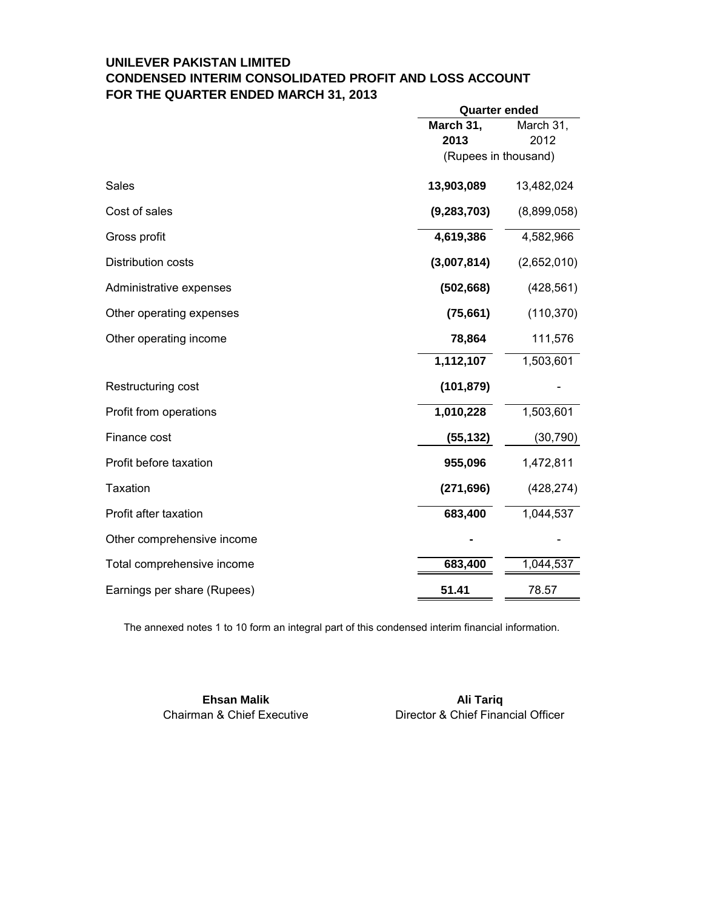# **UNILEVER PAKISTAN LIMITED CONDENSED INTERIM CONSOLIDATED PROFIT AND LOSS ACCOUNT FOR THE QUARTER ENDED MARCH 31, 2013**

|                             |                      | <b>Quarter ended</b> |  |  |
|-----------------------------|----------------------|----------------------|--|--|
|                             | March 31,            | March 31,            |  |  |
|                             | 2013                 | 2012                 |  |  |
|                             | (Rupees in thousand) |                      |  |  |
| Sales                       | 13,903,089           | 13,482,024           |  |  |
| Cost of sales               | (9, 283, 703)        | (8,899,058)          |  |  |
| Gross profit                | 4,619,386            | 4,582,966            |  |  |
| Distribution costs          | (3,007,814)          | (2,652,010)          |  |  |
| Administrative expenses     | (502, 668)           | (428, 561)           |  |  |
| Other operating expenses    | (75, 661)            | (110, 370)           |  |  |
| Other operating income      | 78,864               | 111,576              |  |  |
|                             | 1,112,107            | 1,503,601            |  |  |
| Restructuring cost          | (101, 879)           |                      |  |  |
| Profit from operations      | 1,010,228            | 1,503,601            |  |  |
| Finance cost                | (55, 132)            | (30, 790)            |  |  |
| Profit before taxation      | 955,096              | 1,472,811            |  |  |
| <b>Taxation</b>             | (271, 696)           | (428, 274)           |  |  |
| Profit after taxation       | 683,400              | 1,044,537            |  |  |
| Other comprehensive income  |                      |                      |  |  |
| Total comprehensive income  | 683,400              | 1,044,537            |  |  |
| Earnings per share (Rupees) | 51.41                | 78.57                |  |  |

The annexed notes 1 to 10 form an integral part of this condensed interim financial information.

**Ehsan Malik Ali Tariq Ali Tariq Ali Tariq Ali Tariq Ali Tariq Ali Tariq Ali Tariq Ali Tariq Ali Tariq Ali Tariq** 

Chairman & Chief Executive Director & Chief Financial Officer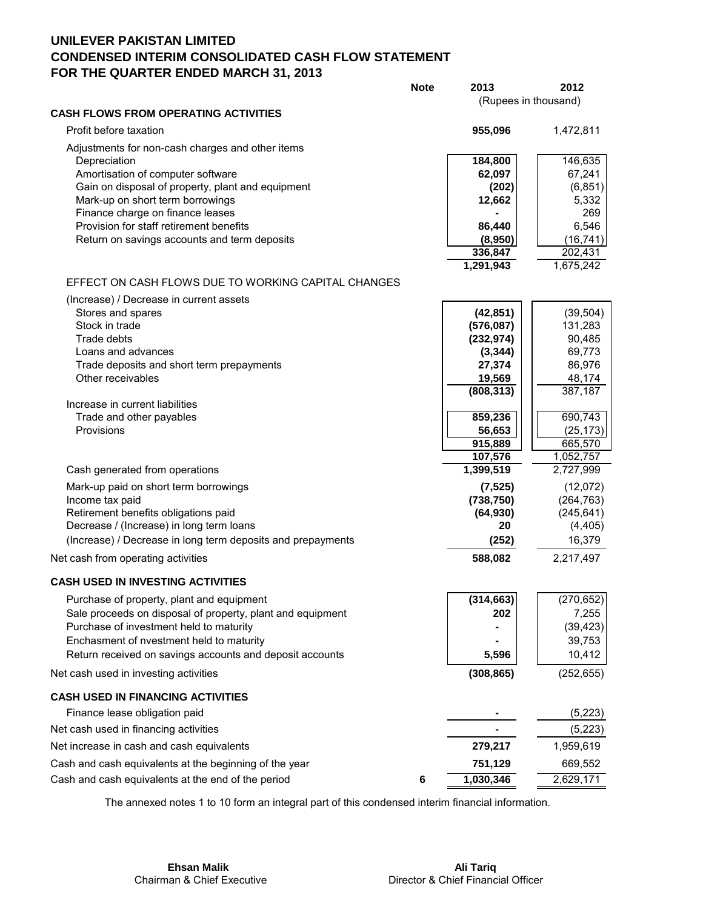# **UNILEVER PAKISTAN LIMITED CONDENSED INTERIM CONSOLIDATED CASH FLOW STATEMENT FOR THE QUARTER ENDED MARCH 31, 2013**

|                                                                                                         | <b>Note</b> | 2013<br>(Rupees in thousand) | 2012               |
|---------------------------------------------------------------------------------------------------------|-------------|------------------------------|--------------------|
| <b>CASH FLOWS FROM OPERATING ACTIVITIES</b>                                                             |             |                              |                    |
| Profit before taxation                                                                                  |             | 955,096                      | 1,472,811          |
| Adjustments for non-cash charges and other items                                                        |             |                              |                    |
| Depreciation                                                                                            |             | 184,800                      | 146,635            |
| Amortisation of computer software<br>Gain on disposal of property, plant and equipment                  |             | 62,097<br>(202)              | 67,241<br>(6, 851) |
| Mark-up on short term borrowings                                                                        |             | 12,662                       | 5,332              |
| Finance charge on finance leases                                                                        |             |                              | 269                |
| Provision for staff retirement benefits                                                                 |             | 86,440                       | 6,546              |
| Return on savings accounts and term deposits                                                            |             | (8,950)                      | (16, 741)          |
|                                                                                                         |             | 336,847                      | 202,431            |
|                                                                                                         |             | 1,291,943                    | 1,675,242          |
| EFFECT ON CASH FLOWS DUE TO WORKING CAPITAL CHANGES                                                     |             |                              |                    |
| (Increase) / Decrease in current assets                                                                 |             |                              |                    |
| Stores and spares<br>Stock in trade                                                                     |             | (42, 851)                    | (39, 504)          |
| Trade debts                                                                                             |             | (576,087)<br>(232, 974)      | 131,283<br>90,485  |
| Loans and advances                                                                                      |             | (3, 344)                     | 69,773             |
| Trade deposits and short term prepayments                                                               |             | 27,374                       | 86,976             |
| Other receivables                                                                                       |             | 19,569                       | 48,174             |
|                                                                                                         |             | (808, 313)                   | 387,187            |
| Increase in current liabilities                                                                         |             | 859,236                      | 690,743            |
| Trade and other payables<br>Provisions                                                                  |             | 56,653                       | (25, 173)          |
|                                                                                                         |             | 915,889                      | 665,570            |
|                                                                                                         |             | 107,576                      | 1,052,757          |
| Cash generated from operations                                                                          |             | 1,399,519                    | 2,727,999          |
| Mark-up paid on short term borrowings                                                                   |             | (7, 525)                     | (12,072)           |
| Income tax paid                                                                                         |             | (738, 750)                   | (264, 763)         |
| Retirement benefits obligations paid                                                                    |             | (64, 930)                    | (245, 641)         |
| Decrease / (Increase) in long term loans<br>(Increase) / Decrease in long term deposits and prepayments |             | 20                           | (4, 405)<br>16,379 |
|                                                                                                         |             | (252)                        |                    |
| Net cash from operating activities                                                                      |             | 588,082                      | 2,217,497          |
| <b>CASH USED IN INVESTING ACTIVITIES</b>                                                                |             |                              |                    |
| Purchase of property, plant and equipment                                                               |             | (314, 663)                   | (270, 652)         |
| Sale proceeds on disposal of property, plant and equipment                                              |             | 202                          | 7,255              |
| Purchase of investment held to maturity                                                                 |             |                              | (39, 423)          |
| Enchasment of nvestment held to maturity                                                                |             |                              | 39,753             |
| Return received on savings accounts and deposit accounts                                                |             | 5,596                        | 10,412             |
| Net cash used in investing activities                                                                   |             | (308, 865)                   | (252, 655)         |
| <b>CASH USED IN FINANCING ACTIVITIES</b>                                                                |             |                              |                    |
| Finance lease obligation paid                                                                           |             |                              | (5, 223)           |
| Net cash used in financing activities                                                                   |             |                              | (5,223)            |
| Net increase in cash and cash equivalents                                                               |             | 279,217                      | 1,959,619          |
| Cash and cash equivalents at the beginning of the year                                                  |             | 751,129                      | 669,552            |
| Cash and cash equivalents at the end of the period                                                      | 6           | 1,030,346                    | 2,629,171          |

The annexed notes 1 to 10 form an integral part of this condensed interim financial information.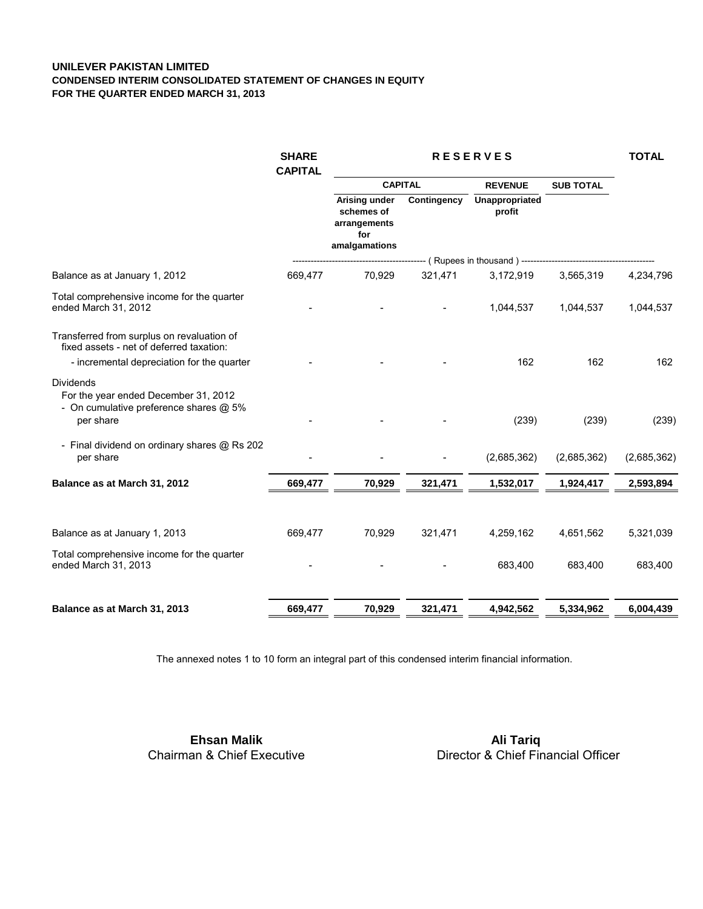#### **UNILEVER PAKISTAN LIMITED CONDENSED INTERIM CONSOLIDATED STATEMENT OF CHANGES IN EQUITY FOR THE QUARTER ENDED MARCH 31, 2013**

| <b>SHARE</b><br><b>CAPITAL</b> | <b>RESERVES</b>                                                     |             |                          |                  | <b>TOTAL</b>                                                                       |  |
|--------------------------------|---------------------------------------------------------------------|-------------|--------------------------|------------------|------------------------------------------------------------------------------------|--|
|                                | <b>CAPITAL</b>                                                      |             | <b>REVENUE</b>           | <b>SUB TOTAL</b> |                                                                                    |  |
|                                | Arising under<br>schemes of<br>arrangements<br>for<br>amalgamations | Contingency | Unappropriated<br>profit |                  |                                                                                    |  |
|                                |                                                                     |             |                          |                  |                                                                                    |  |
| 669,477                        | 70,929                                                              | 321,471     | 3,172,919                | 3.565.319        | 4,234,796                                                                          |  |
|                                |                                                                     |             | 1,044,537                | 1,044,537        | 1,044,537                                                                          |  |
|                                |                                                                     |             | 162                      | 162              | 162                                                                                |  |
|                                |                                                                     |             | (239)                    | (239)            | (239)                                                                              |  |
|                                |                                                                     |             | (2,685,362)              | (2,685,362)      | (2,685,362)                                                                        |  |
| 669,477                        | 70,929                                                              | 321,471     | 1,532,017                | 1,924,417        | 2,593,894                                                                          |  |
| 669,477                        | 70,929                                                              | 321,471     | 4,259,162                | 4,651,562        | 5,321,039                                                                          |  |
|                                |                                                                     |             | 683,400                  | 683,400          | 683,400                                                                            |  |
| 669,477                        | 70,929                                                              | 321,471     | 4,942,562                | 5,334,962        | 6,004,439                                                                          |  |
|                                |                                                                     |             |                          |                  | ------------------------------ (Rupees in thousand) ------------------------------ |  |

The annexed notes 1 to 10 form an integral part of this condensed interim financial information.

 Chairman & Chief Executive  **Ehsan Malik**

 Director & Chief Financial Officer  **Ali Tariq**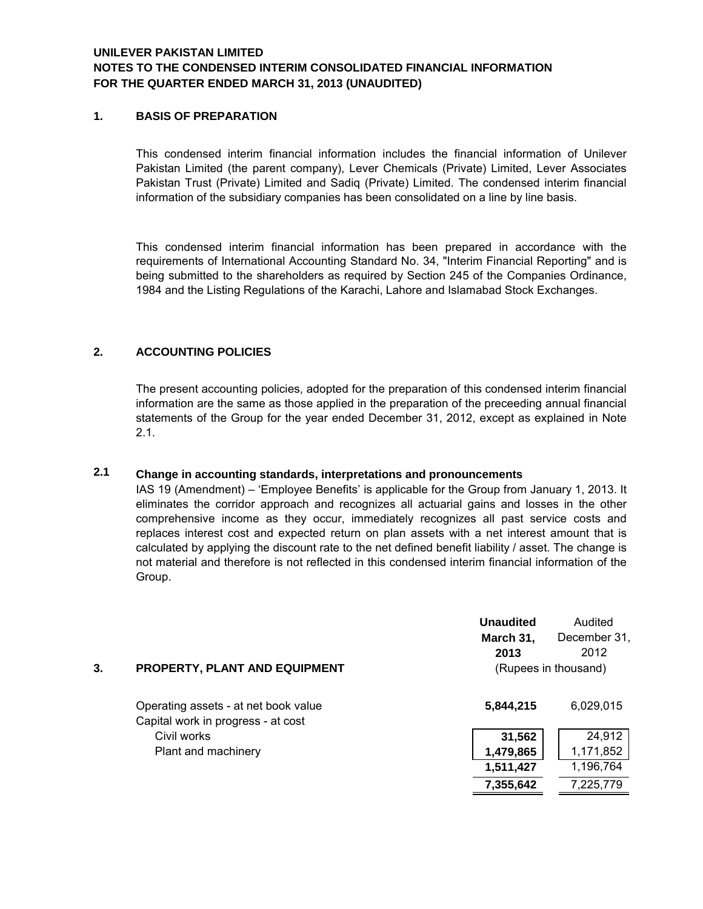# **NOTES TO THE CONDENSED INTERIM CONSOLIDATED FINANCIAL INFORMATION FOR THE QUARTER ENDED MARCH 31, 2013 (UNAUDITED) UNILEVER PAKISTAN LIMITED**

#### **1. BASIS OF PREPARATION**

 information of the subsidiary companies has been consolidated on a line by line basis. This condensed interim financial information includes the financial information of Unilever Pakistan Limited (the parent company), Lever Chemicals (Private) Limited, Lever Associates Pakistan Trust (Private) Limited and Sadiq (Private) Limited. The condensed interim financial

 1984 and the Listing Regulations of the Karachi, Lahore and Islamabad Stock Exchanges. This condensed interim financial information has been prepared in accordance with the requirements of International Accounting Standard No. 34, "Interim Financial Reporting" and is being submitted to the shareholders as required by Section 245 of the Companies Ordinance,

### **2. ACCOUNTING POLICIES**

The present accounting policies, adopted for the preparation of this condensed interim financial information are the same as those applied in the preparation of the preceeding annual financial statements of the Group for the year ended December 31, 2012, except as explained in Note 2.1.

#### **Change in accounting standards, interpretations and pronouncements 2.1**

IAS 19 (Amendment) – 'Employee Benefits' is applicable for the Group from January 1, 2013. It eliminates the corridor approach and recognizes all actuarial gains and losses in the other comprehensive income as they occur, immediately recognizes all past service costs and replaces interest cost and expected return on plan assets with a net interest amount that is calculated by applying the discount rate to the net defined benefit liability / asset. The change is not material and therefore is not reflected in this condensed interim financial information of the Group.

|    |                                                                            | <b>Unaudited</b><br>March 31, | Audited<br>December 31,      |
|----|----------------------------------------------------------------------------|-------------------------------|------------------------------|
| 3. | PROPERTY, PLANT AND EQUIPMENT                                              | 2013                          | 2012<br>(Rupees in thousand) |
|    | Operating assets - at net book value<br>Capital work in progress - at cost | 5,844,215                     | 6,029,015                    |
|    | Civil works                                                                | 31,562                        | 24,912                       |
|    | Plant and machinery                                                        | 1,479,865                     | 1,171,852                    |
|    |                                                                            | 1,511,427                     | 1,196,764                    |
|    |                                                                            | 7,355,642                     | 7,225,779                    |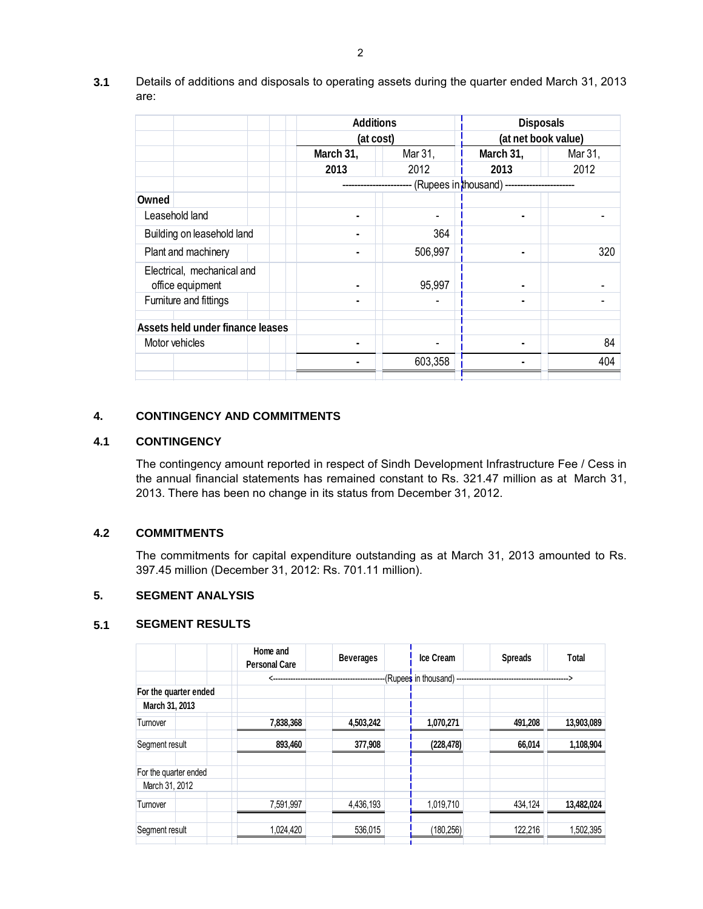|                                                | <b>Additions</b>       |           | <b>Disposals</b> |                     |  |
|------------------------------------------------|------------------------|-----------|------------------|---------------------|--|
|                                                |                        | (at cost) |                  | (at net book value) |  |
|                                                | March 31,              | Mar 31,   | March 31,        | Mar 31,             |  |
|                                                | 2013                   | 2012      | 2013             | 2012                |  |
|                                                | (Rupees in thousand) - |           |                  |                     |  |
| Owned                                          |                        |           |                  |                     |  |
| Leasehold land                                 |                        |           |                  |                     |  |
| Building on leasehold land                     |                        | 364       |                  |                     |  |
| Plant and machinery                            |                        | 506,997   |                  | 320                 |  |
| Electrical, mechanical and<br>office equipment | ۰                      | 95,997    |                  |                     |  |
| Furniture and fittings                         |                        |           |                  |                     |  |
| Assets held under finance leases               |                        |           |                  |                     |  |
| Motor vehicles                                 |                        |           |                  | 84                  |  |
|                                                |                        | 603,358   |                  | 404                 |  |
|                                                |                        |           |                  |                     |  |

**3.1** Details of additions and disposals to operating assets during the quarter ended March 31, 2013 are:

### **4. CONTINGENCY AND COMMITMENTS**

# **4.1 CONTINGENCY**

 2013. There has been no change in its status from December 31, 2012. The contingency amount reported in respect of Sindh Development Infrastructure Fee / Cess in the annual financial statements has remained constant to Rs. 321.47 million as at March 31,

#### **4.2 COMMITMENTS**

 397.45 million (December 31, 2012: Rs. 701.11 million). The commitments for capital expenditure outstanding as at March 31, 2013 amounted to Rs.

#### **5. SEGMENT ANALYSIS**

#### **5.1 SEGMENT RESULTS**

| <b>SEGMENT RESULTS</b> |                                  |                  |                          |                |            |
|------------------------|----------------------------------|------------------|--------------------------|----------------|------------|
|                        | Home and<br><b>Personal Care</b> | <b>Beverages</b> | <b>Ice Cream</b>         | <b>Spreads</b> | Total      |
|                        | ←                                |                  | (Rupees in thousand) --- |                |            |
| For the quarter ended  |                                  |                  |                          |                |            |
| March 31, 2013         |                                  |                  |                          |                |            |
| Turnover               | 7,838,368                        | 4,503,242        | 1,070,271                | 491,208        | 13,903,089 |
| Segment result         | 893,460                          | 377,908          | (228, 478)               | 66,014         | 1,108,904  |
| For the quarter ended  |                                  |                  |                          |                |            |
| March 31, 2012         |                                  |                  |                          |                |            |
| Turnover               | 7,591,997                        | 4,436,193        | 1,019,710                | 434,124        | 13,482,024 |
| Segment result         | 1,024,420                        | 536,015          | (180, 256)               | 122,216        | 1,502,395  |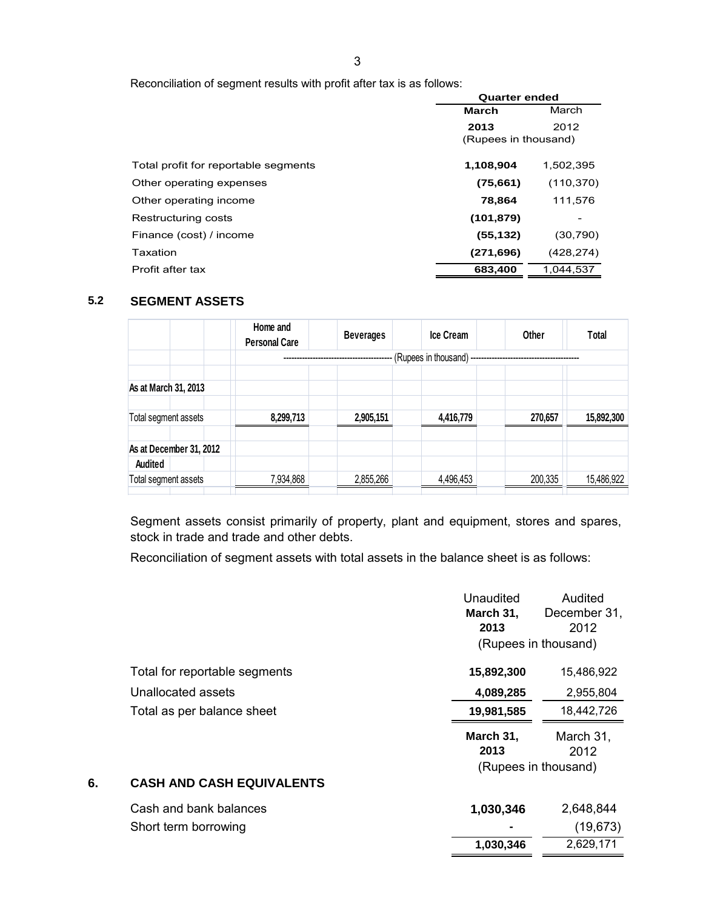Reconciliation of segment results with profit after tax is as follows:

|                                      |                       | <b>Quarter ended</b> |  |  |
|--------------------------------------|-----------------------|----------------------|--|--|
|                                      | March<br><b>March</b> |                      |  |  |
|                                      | 2013                  | 2012                 |  |  |
|                                      | (Rupees in thousand)  |                      |  |  |
| Total profit for reportable segments | 1,108,904             | 1,502,395            |  |  |
| Other operating expenses             | (75,661)              | (110, 370)           |  |  |
| Other operating income               | 78,864                | 111,576              |  |  |
| Restructuring costs                  | (101, 879)            |                      |  |  |
| Finance (cost) / income              | (55, 132)             | (30, 790)            |  |  |
| Taxation                             | (271, 696)            | (428, 274)           |  |  |
| Profit after tax                     | 683,400               | 1.044.537            |  |  |

# **5.2 SEGMENT ASSETS**

|                                 | Home and<br><b>Personal Care</b> | <b>Beverages</b> | <b>Ice Cream</b>     | Other   | Total      |
|---------------------------------|----------------------------------|------------------|----------------------|---------|------------|
|                                 |                                  |                  | (Rupees in thousand) |         |            |
| As at March 31, 2013            |                                  |                  |                      |         |            |
| Total segment assets            | 8,299,713                        | 2,905,151        | 4,416,779            | 270,657 | 15,892,300 |
| As at December 31, 2012         |                                  |                  |                      |         |            |
| Audited<br>Total segment assets | 7,934,868                        | 2,855,266        | 4,496,453            | 200,335 | 15,486,922 |

Segment assets consist primarily of property, plant and equipment, stores and spares, stock in trade and trade and other debts.

Reconciliation of segment assets with total assets in the balance sheet is as follows:

|    |                                  | <b>Unaudited</b><br>March 31,<br>2013 | Audited<br>December 31,<br>2012 |  |
|----|----------------------------------|---------------------------------------|---------------------------------|--|
|    |                                  |                                       | (Rupees in thousand)            |  |
|    | Total for reportable segments    | 15,892,300                            | 15,486,922                      |  |
|    | Unallocated assets               | 4,089,285                             | 2,955,804                       |  |
|    | Total as per balance sheet       | 19,981,585                            | 18,442,726                      |  |
|    |                                  | March 31,<br>2013                     | March 31,<br>2012               |  |
|    |                                  |                                       | (Rupees in thousand)            |  |
| 6. | <b>CASH AND CASH EQUIVALENTS</b> |                                       |                                 |  |
|    | Cash and bank balances           | 1,030,346                             | 2,648,844                       |  |
|    | Short term borrowing             |                                       | (19, 673)                       |  |
|    |                                  | 1,030,346                             | 2,629,171                       |  |